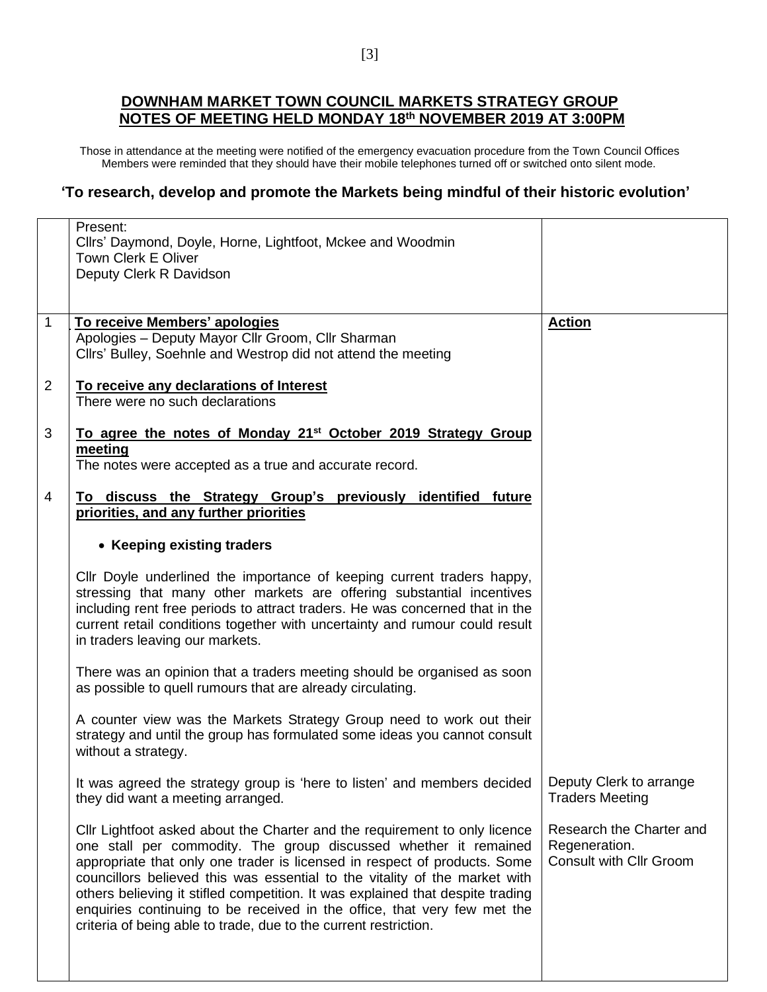## **DOWNHAM MARKET TOWN COUNCIL MARKETS STRATEGY GROUP NOTES OF MEETING HELD MONDAY 18th NOVEMBER 2019 AT 3:00PM**

Those in attendance at the meeting were notified of the emergency evacuation procedure from the Town Council Offices Members were reminded that they should have their mobile telephones turned off or switched onto silent mode.

## **'To research, develop and promote the Markets being mindful of their historic evolution'**

|                | Present:                                                                                                                                      |                                                 |
|----------------|-----------------------------------------------------------------------------------------------------------------------------------------------|-------------------------------------------------|
|                | Cllrs' Daymond, Doyle, Horne, Lightfoot, Mckee and Woodmin                                                                                    |                                                 |
|                | <b>Town Clerk E Oliver</b>                                                                                                                    |                                                 |
|                | Deputy Clerk R Davidson                                                                                                                       |                                                 |
|                |                                                                                                                                               |                                                 |
| $\overline{1}$ |                                                                                                                                               |                                                 |
|                | To receive Members' apologies<br>Apologies - Deputy Mayor Cllr Groom, Cllr Sharman                                                            | <b>Action</b>                                   |
|                | Cllrs' Bulley, Soehnle and Westrop did not attend the meeting                                                                                 |                                                 |
|                |                                                                                                                                               |                                                 |
| $\overline{2}$ | To receive any declarations of Interest                                                                                                       |                                                 |
|                | There were no such declarations                                                                                                               |                                                 |
|                |                                                                                                                                               |                                                 |
| 3              | To agree the notes of Monday 21 <sup>st</sup> October 2019 Strategy Group                                                                     |                                                 |
|                | meeting                                                                                                                                       |                                                 |
|                | The notes were accepted as a true and accurate record.                                                                                        |                                                 |
| 4              |                                                                                                                                               |                                                 |
|                | To discuss the Strategy Group's previously identified future<br>priorities, and any further priorities                                        |                                                 |
|                |                                                                                                                                               |                                                 |
|                | • Keeping existing traders                                                                                                                    |                                                 |
|                | Cllr Doyle underlined the importance of keeping current traders happy,                                                                        |                                                 |
|                | stressing that many other markets are offering substantial incentives                                                                         |                                                 |
|                | including rent free periods to attract traders. He was concerned that in the                                                                  |                                                 |
|                | current retail conditions together with uncertainty and rumour could result                                                                   |                                                 |
|                | in traders leaving our markets.                                                                                                               |                                                 |
|                |                                                                                                                                               |                                                 |
|                | There was an opinion that a traders meeting should be organised as soon                                                                       |                                                 |
|                | as possible to quell rumours that are already circulating.                                                                                    |                                                 |
|                | A counter view was the Markets Strategy Group need to work out their                                                                          |                                                 |
|                | strategy and until the group has formulated some ideas you cannot consult                                                                     |                                                 |
|                | without a strategy.                                                                                                                           |                                                 |
|                |                                                                                                                                               |                                                 |
|                | It was agreed the strategy group is 'here to listen' and members decided                                                                      | Deputy Clerk to arrange                         |
|                | they did want a meeting arranged.                                                                                                             | <b>Traders Meeting</b>                          |
|                |                                                                                                                                               |                                                 |
|                | Cllr Lightfoot asked about the Charter and the requirement to only licence                                                                    | Research the Charter and                        |
|                | one stall per commodity. The group discussed whether it remained<br>appropriate that only one trader is licensed in respect of products. Some | Regeneration.<br><b>Consult with Cllr Groom</b> |
|                | councillors believed this was essential to the vitality of the market with                                                                    |                                                 |
|                | others believing it stifled competition. It was explained that despite trading                                                                |                                                 |
|                | enquiries continuing to be received in the office, that very few met the                                                                      |                                                 |
|                | criteria of being able to trade, due to the current restriction.                                                                              |                                                 |
|                |                                                                                                                                               |                                                 |
|                |                                                                                                                                               |                                                 |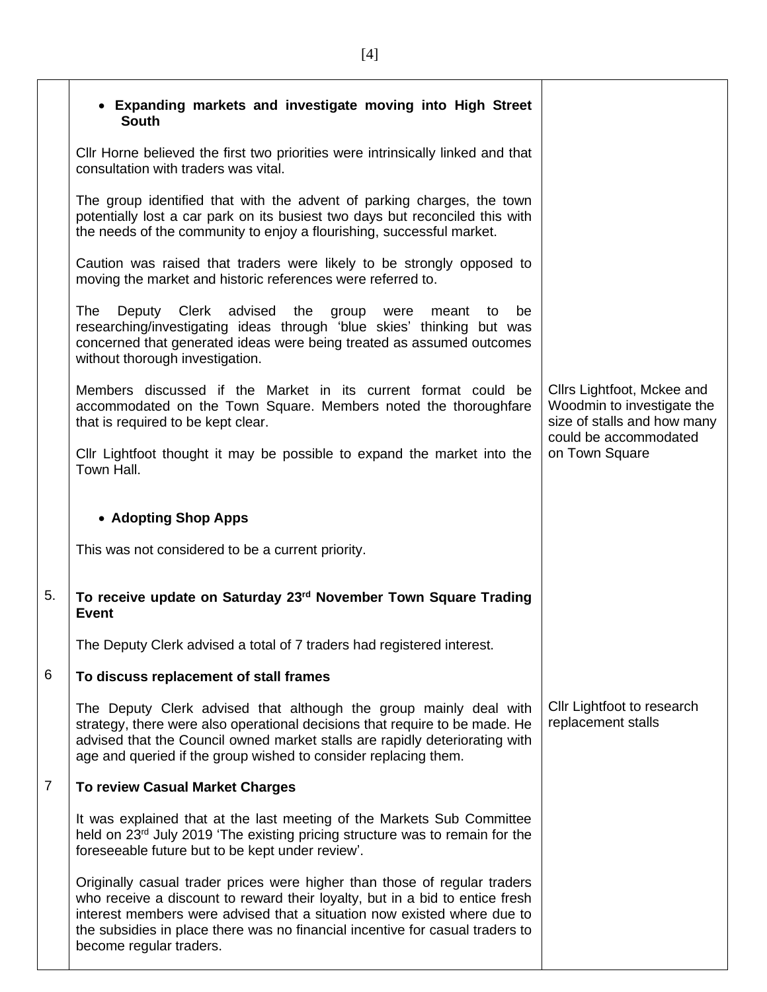|                | • Expanding markets and investigate moving into High Street<br><b>South</b>                                                                                                                                                                                                                                                                      |                                                                                                                  |
|----------------|--------------------------------------------------------------------------------------------------------------------------------------------------------------------------------------------------------------------------------------------------------------------------------------------------------------------------------------------------|------------------------------------------------------------------------------------------------------------------|
|                | CIIr Horne believed the first two priorities were intrinsically linked and that<br>consultation with traders was vital.                                                                                                                                                                                                                          |                                                                                                                  |
|                | The group identified that with the advent of parking charges, the town<br>potentially lost a car park on its busiest two days but reconciled this with<br>the needs of the community to enjoy a flourishing, successful market.                                                                                                                  |                                                                                                                  |
|                | Caution was raised that traders were likely to be strongly opposed to<br>moving the market and historic references were referred to.                                                                                                                                                                                                             |                                                                                                                  |
|                | The<br>Deputy Clerk advised the group were<br>meant to<br>be<br>researching/investigating ideas through 'blue skies' thinking but was<br>concerned that generated ideas were being treated as assumed outcomes<br>without thorough investigation.                                                                                                |                                                                                                                  |
|                | Members discussed if the Market in its current format could be<br>accommodated on the Town Square. Members noted the thoroughfare<br>that is required to be kept clear.                                                                                                                                                                          | Cllrs Lightfoot, Mckee and<br>Woodmin to investigate the<br>size of stalls and how many<br>could be accommodated |
|                | Cllr Lightfoot thought it may be possible to expand the market into the<br>Town Hall.                                                                                                                                                                                                                                                            | on Town Square                                                                                                   |
|                | • Adopting Shop Apps                                                                                                                                                                                                                                                                                                                             |                                                                                                                  |
|                | This was not considered to be a current priority.                                                                                                                                                                                                                                                                                                |                                                                                                                  |
| 5.             | To receive update on Saturday 23rd November Town Square Trading<br><b>Event</b>                                                                                                                                                                                                                                                                  |                                                                                                                  |
|                | The Deputy Clerk advised a total of 7 traders had registered interest.                                                                                                                                                                                                                                                                           |                                                                                                                  |
| 6              | To discuss replacement of stall frames                                                                                                                                                                                                                                                                                                           |                                                                                                                  |
|                | The Deputy Clerk advised that although the group mainly deal with<br>strategy, there were also operational decisions that require to be made. He<br>advised that the Council owned market stalls are rapidly deteriorating with<br>age and queried if the group wished to consider replacing them.                                               | Cllr Lightfoot to research<br>replacement stalls                                                                 |
| $\overline{7}$ | <b>To review Casual Market Charges</b>                                                                                                                                                                                                                                                                                                           |                                                                                                                  |
|                | It was explained that at the last meeting of the Markets Sub Committee<br>held on 23 <sup>rd</sup> July 2019 'The existing pricing structure was to remain for the<br>foreseeable future but to be kept under review'.                                                                                                                           |                                                                                                                  |
|                | Originally casual trader prices were higher than those of regular traders<br>who receive a discount to reward their loyalty, but in a bid to entice fresh<br>interest members were advised that a situation now existed where due to<br>the subsidies in place there was no financial incentive for casual traders to<br>become regular traders. |                                                                                                                  |